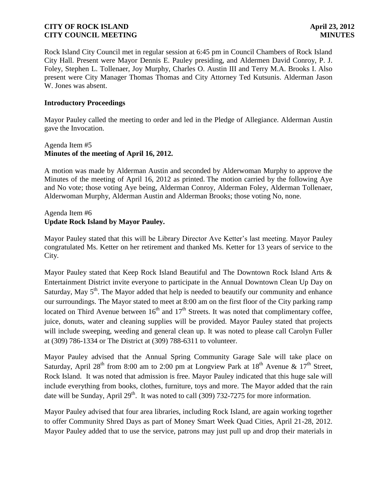Rock Island City Council met in regular session at 6:45 pm in Council Chambers of Rock Island City Hall. Present were Mayor Dennis E. Pauley presiding, and Aldermen David Conroy, P. J. Foley, Stephen L. Tollenaer, Joy Murphy, Charles O. Austin III and Terry M.A. Brooks I. Also present were City Manager Thomas Thomas and City Attorney Ted Kutsunis. Alderman Jason W. Jones was absent.

#### **Introductory Proceedings**

Mayor Pauley called the meeting to order and led in the Pledge of Allegiance. Alderman Austin gave the Invocation.

# Agenda Item #5 **Minutes of the meeting of April 16, 2012.**

A motion was made by Alderman Austin and seconded by Alderwoman Murphy to approve the Minutes of the meeting of April 16, 2012 as printed. The motion carried by the following Aye and No vote; those voting Aye being, Alderman Conroy, Alderman Foley, Alderman Tollenaer, Alderwoman Murphy, Alderman Austin and Alderman Brooks; those voting No, none.

### Agenda Item #6 **Update Rock Island by Mayor Pauley.**

Mayor Pauley stated that this will be Library Director Ave Ketter's last meeting. Mayor Pauley congratulated Ms. Ketter on her retirement and thanked Ms. Ketter for 13 years of service to the City.

Mayor Pauley stated that Keep Rock Island Beautiful and The Downtown Rock Island Arts & Entertainment District invite everyone to participate in the Annual Downtown Clean Up Day on Saturday, May  $5<sup>th</sup>$ . The Mayor added that help is needed to beautify our community and enhance our surroundings. The Mayor stated to meet at 8:00 am on the first floor of the City parking ramp located on Third Avenue between  $16<sup>th</sup>$  and  $17<sup>th</sup>$  Streets. It was noted that complimentary coffee, juice, donuts, water and cleaning supplies will be provided. Mayor Pauley stated that projects will include sweeping, weeding and general clean up. It was noted to please call Carolyn Fuller at (309) 786-1334 or The District at (309) 788-6311 to volunteer.

Mayor Pauley advised that the Annual Spring Community Garage Sale will take place on Saturday, April 28<sup>th</sup> from 8:00 am to 2:00 pm at Longview Park at  $18^{th}$  Avenue &  $17^{th}$  Street, Rock Island. It was noted that admission is free. Mayor Pauley indicated that this huge sale will include everything from books, clothes, furniture, toys and more. The Mayor added that the rain date will be Sunday, April  $29<sup>th</sup>$ . It was noted to call (309) 732-7275 for more information.

Mayor Pauley advised that four area libraries, including Rock Island, are again working together to offer Community Shred Days as part of Money Smart Week Quad Cities, April 21-28, 2012. Mayor Pauley added that to use the service, patrons may just pull up and drop their materials in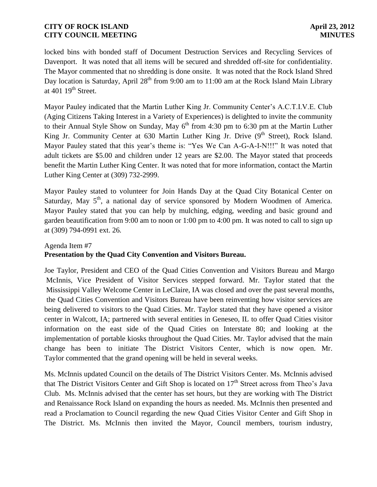locked bins with bonded staff of Document Destruction Services and Recycling Services of Davenport. It was noted that all items will be secured and shredded off-site for confidentiality. The Mayor commented that no shredding is done onsite. It was noted that the Rock Island Shred Day location is Saturday, April  $28<sup>th</sup>$  from 9:00 am to 11:00 am at the Rock Island Main Library at  $401 \; 19$ <sup>th</sup> Street.

Mayor Pauley indicated that the Martin Luther King Jr. Community Center's A.C.T.I.V.E. Club (Aging Citizens Taking Interest in a Variety of Experiences) is delighted to invite the community to their Annual Style Show on Sunday, May  $6<sup>th</sup>$  from 4:30 pm to 6:30 pm at the Martin Luther King Jr. Community Center at 630 Martin Luther King Jr. Drive (9<sup>th</sup> Street), Rock Island. Mayor Pauley stated that this year's theme is: "Yes We Can A-G-A-I-N!!!" It was noted that adult tickets are \$5.00 and children under 12 years are \$2.00. The Mayor stated that proceeds benefit the Martin Luther King Center. It was noted that for more information, contact the Martin Luther King Center at (309) 732-2999.

Mayor Pauley stated to volunteer for Join Hands Day at the Quad City Botanical Center on Saturday, May 5<sup>th</sup>, a national day of service sponsored by Modern Woodmen of America. Mayor Pauley stated that you can help by mulching, edging, weeding and basic ground and garden beautification from 9:00 am to noon or 1:00 pm to 4:00 pm. It was noted to call to sign up at (309) 794-0991 ext. 26.

# Agenda Item #7 **Presentation by the Quad City Convention and Visitors Bureau.**

Joe Taylor, President and CEO of the Quad Cities Convention and Visitors Bureau and Margo McInnis, Vice President of Visitor Services stepped forward. Mr. Taylor stated that the Mississippi Valley Welcome Center in LeClaire, IA was closed and over the past several months, the Quad Cities Convention and Visitors Bureau have been reinventing how visitor services are being delivered to visitors to the Quad Cities. Mr. Taylor stated that they have opened a visitor center in Walcott, IA; partnered with several entities in Geneseo, IL to offer Quad Cities visitor information on the east side of the Quad Cities on Interstate 80; and looking at the implementation of portable kiosks throughout the Quad Cities. Mr. Taylor advised that the main change has been to initiate The District Visitors Center, which is now open. Mr. Taylor commented that the grand opening will be held in several weeks.

Ms. McInnis updated Council on the details of The District Visitors Center. Ms. McInnis advised that The District Visitors Center and Gift Shop is located on 17<sup>th</sup> Street across from Theo's Java Club. Ms. McInnis advised that the center has set hours, but they are working with The District and Renaissance Rock Island on expanding the hours as needed. Ms. McInnis then presented and read a Proclamation to Council regarding the new Quad Cities Visitor Center and Gift Shop in The District. Ms. McInnis then invited the Mayor, Council members, tourism industry,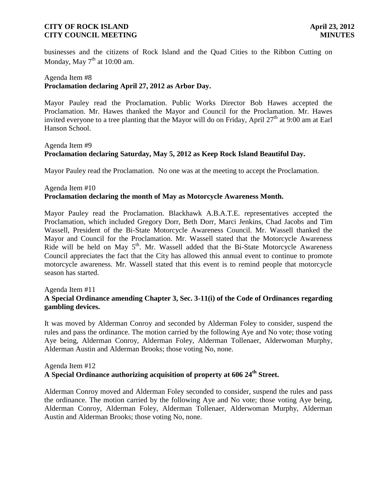businesses and the citizens of Rock Island and the Quad Cities to the Ribbon Cutting on Monday, May  $7<sup>th</sup>$  at 10:00 am.

# Agenda Item #8 **Proclamation declaring April 27, 2012 as Arbor Day.**

Mayor Pauley read the Proclamation. Public Works Director Bob Hawes accepted the Proclamation. Mr. Hawes thanked the Mayor and Council for the Proclamation. Mr. Hawes invited everyone to a tree planting that the Mayor will do on Friday, April  $27<sup>th</sup>$  at 9:00 am at Earl Hanson School.

# Agenda Item #9 **Proclamation declaring Saturday, May 5, 2012 as Keep Rock Island Beautiful Day.**

Mayor Pauley read the Proclamation. No one was at the meeting to accept the Proclamation.

# Agenda Item #10 **Proclamation declaring the month of May as Motorcycle Awareness Month.**

Mayor Pauley read the Proclamation. Blackhawk A.B.A.T.E. representatives accepted the Proclamation, which included Gregory Dorr, Beth Dorr, Marci Jenkins, Chad Jacobs and Tim Wassell, President of the Bi-State Motorcycle Awareness Council. Mr. Wassell thanked the Mayor and Council for the Proclamation. Mr. Wassell stated that the Motorcycle Awareness Ride will be held on May  $5<sup>th</sup>$ . Mr. Wassell added that the Bi-State Motorcycle Awareness Council appreciates the fact that the City has allowed this annual event to continue to promote motorcycle awareness. Mr. Wassell stated that this event is to remind people that motorcycle season has started.

#### Agenda Item #11

### **A Special Ordinance amending Chapter 3, Sec. 3-11(i) of the Code of Ordinances regarding gambling devices.**

 It was moved by Alderman Conroy and seconded by Alderman Foley to consider, suspend the rules and pass the ordinance. The motion carried by the following Aye and No vote; those voting Aye being, Alderman Conroy, Alderman Foley, Alderman Tollenaer, Alderwoman Murphy, Alderman Austin and Alderman Brooks; those voting No, none.

#### Agenda Item #12 **A Special Ordinance authorizing acquisition of property at 606 24th Street.**

 Alderman Conroy moved and Alderman Foley seconded to consider, suspend the rules and pass the ordinance. The motion carried by the following Aye and No vote; those voting Aye being, Alderman Conroy, Alderman Foley, Alderman Tollenaer, Alderwoman Murphy, Alderman Austin and Alderman Brooks; those voting No, none.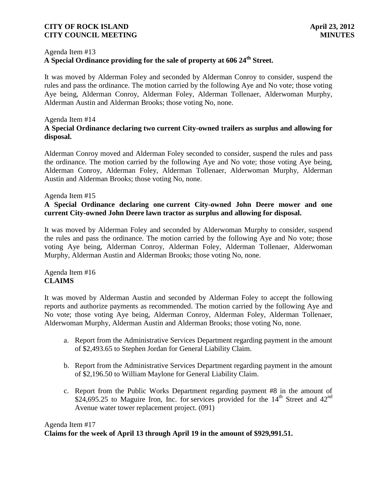#### Agenda Item #13

# **A Special Ordinance providing for the sale of property at 606 24th Street.**

 It was moved by Alderman Foley and seconded by Alderman Conroy to consider, suspend the rules and pass the ordinance. The motion carried by the following Aye and No vote; those voting Aye being, Alderman Conroy, Alderman Foley, Alderman Tollenaer, Alderwoman Murphy, Alderman Austin and Alderman Brooks; those voting No, none.

#### Agenda Item #14

# **A Special Ordinance declaring two current City-owned trailers as surplus and allowing for disposal.**

 Alderman Conroy moved and Alderman Foley seconded to consider, suspend the rules and pass the ordinance. The motion carried by the following Aye and No vote; those voting Aye being, Alderman Conroy, Alderman Foley, Alderman Tollenaer, Alderwoman Murphy, Alderman Austin and Alderman Brooks; those voting No, none.

#### Agenda Item #15

### **A Special Ordinance declaring one current City-owned John Deere mower and one current City-owned John Deere lawn tractor as surplus and allowing for disposal.**

 It was moved by Alderman Foley and seconded by Alderwoman Murphy to consider, suspend the rules and pass the ordinance. The motion carried by the following Aye and No vote; those voting Aye being, Alderman Conroy, Alderman Foley, Alderman Tollenaer, Alderwoman Murphy, Alderman Austin and Alderman Brooks; those voting No, none.

#### Agenda Item #16 **CLAIMS**

It was moved by Alderman Austin and seconded by Alderman Foley to accept the following reports and authorize payments as recommended. The motion carried by the following Aye and No vote; those voting Aye being, Alderman Conroy, Alderman Foley, Alderman Tollenaer, Alderwoman Murphy, Alderman Austin and Alderman Brooks; those voting No, none.

- a. Report from the Administrative Services Department regarding payment in the amount of \$2,493.65 to Stephen Jordan for General Liability Claim.
- b. Report from the Administrative Services Department regarding payment in the amount of \$2,196.50 to William Maylone for General Liability Claim.
- c. Report from the Public Works Department regarding payment #8 in the amount of \$24,695.25 to Maguire Iron, Inc. for services provided for the  $14<sup>th</sup>$  Street and  $42<sup>nd</sup>$ Avenue water tower replacement project. (091)

### Agenda Item #17 **Claims for the week of April 13 through April 19 in the amount of \$929,991.51.**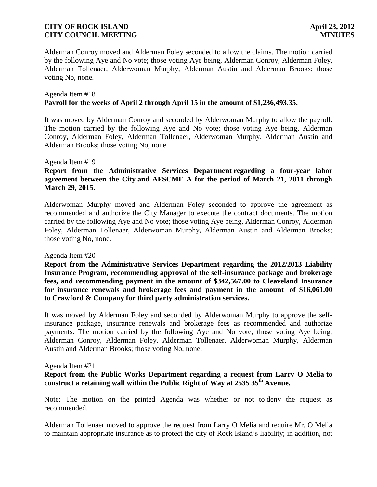Alderman Conroy moved and Alderman Foley seconded to allow the claims. The motion carried by the following Aye and No vote; those voting Aye being, Alderman Conroy, Alderman Foley, Alderman Tollenaer, Alderwoman Murphy, Alderman Austin and Alderman Brooks; those voting No, none.

#### Agenda Item #18 P**ayroll for the weeks of April 2 through April 15 in the amount of \$1,236,493.35.**

 It was moved by Alderman Conroy and seconded by Alderwoman Murphy to allow the payroll. The motion carried by the following Aye and No vote; those voting Aye being, Alderman Conroy, Alderman Foley, Alderman Tollenaer, Alderwoman Murphy, Alderman Austin and Alderman Brooks; those voting No, none.

#### Agenda Item #19

# **Report from the Administrative Services Department regarding a four-year labor agreement between the City and AFSCME A for the period of March 21, 2011 through March 29, 2015.**

Alderwoman Murphy moved and Alderman Foley seconded to approve the agreement as recommended and authorize the City Manager to execute the contract documents. The motion carried by the following Aye and No vote; those voting Aye being, Alderman Conroy, Alderman Foley, Alderman Tollenaer, Alderwoman Murphy, Alderman Austin and Alderman Brooks; those voting No, none.

#### Agenda Item #20

 **Report from the Administrative Services Department regarding the 2012/2013 Liability Insurance Program, recommending approval of the self-insurance package and brokerage fees, and recommending payment in the amount of \$342,567.00 to Cleaveland Insurance for insurance renewals and brokerage fees and payment in the amount of \$16,061.00 to Crawford & Company for third party administration services.**

 It was moved by Alderman Foley and seconded by Alderwoman Murphy to approve the selfinsurance package, insurance renewals and brokerage fees as recommended and authorize payments. The motion carried by the following Aye and No vote; those voting Aye being, Alderman Conroy, Alderman Foley, Alderman Tollenaer, Alderwoman Murphy, Alderman Austin and Alderman Brooks; those voting No, none.

#### Agenda Item #21

# **Report from the Public Works Department regarding a request from Larry O Melia to construct a retaining wall within the Public Right of Way at 2535 35th Avenue.**

Note: The motion on the printed Agenda was whether or not to deny the request as recommended.

Alderman Tollenaer moved to approve the request from Larry O Melia and require Mr. O Melia to maintain appropriate insurance as to protect the city of Rock Island's liability; in addition, not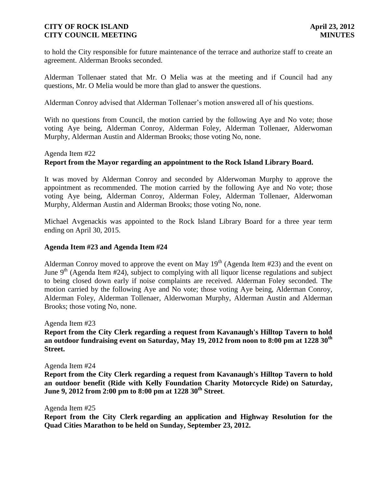to hold the City responsible for future maintenance of the terrace and authorize staff to create an agreement. Alderman Brooks seconded.

Alderman Tollenaer stated that Mr. O Melia was at the meeting and if Council had any questions, Mr. O Melia would be more than glad to answer the questions.

Alderman Conroy advised that Alderman Tollenaer's motion answered all of his questions.

With no questions from Council, the motion carried by the following Aye and No vote; those voting Aye being, Alderman Conroy, Alderman Foley, Alderman Tollenaer, Alderwoman Murphy, Alderman Austin and Alderman Brooks; those voting No, none.

#### Agenda Item #22

#### **Report from the Mayor regarding an appointment to the Rock Island Library Board.**

 It was moved by Alderman Conroy and seconded by Alderwoman Murphy to approve the appointment as recommended. The motion carried by the following Aye and No vote; those voting Aye being, Alderman Conroy, Alderman Foley, Alderman Tollenaer, Alderwoman Murphy, Alderman Austin and Alderman Brooks; those voting No, none.

Michael Avgenackis was appointed to the Rock Island Library Board for a three year term ending on April 30, 2015.

#### **Agenda Item #23 and Agenda Item #24**

Alderman Conroy moved to approve the event on May  $19<sup>th</sup>$  (Agenda Item #23) and the event on June  $9<sup>th</sup>$  (Agenda Item #24), subject to complying with all liquor license regulations and subject to being closed down early if noise complaints are received. Alderman Foley seconded. The motion carried by the following Aye and No vote; those voting Aye being, Alderman Conroy, Alderman Foley, Alderman Tollenaer, Alderwoman Murphy, Alderman Austin and Alderman Brooks; those voting No, none.

Agenda Item #23

**Report from the City Clerk regarding a request from Kavanaugh's Hilltop Tavern to hold an outdoor fundraising event on Saturday, May 19, 2012 from noon to 8:00 pm at 1228 30th Street.**

Agenda Item #24

**Report from the City Clerk regarding a request from Kavanaugh's Hilltop Tavern to hold an outdoor benefit (Ride with Kelly Foundation Charity Motorcycle Ride) on Saturday, June 9, 2012 from 2:00 pm to 8:00 pm at 1228 30th Street**.

Agenda Item #25

**Report from the City Clerk regarding an application and Highway Resolution for the Quad Cities Marathon to be held on Sunday, September 23, 2012.**